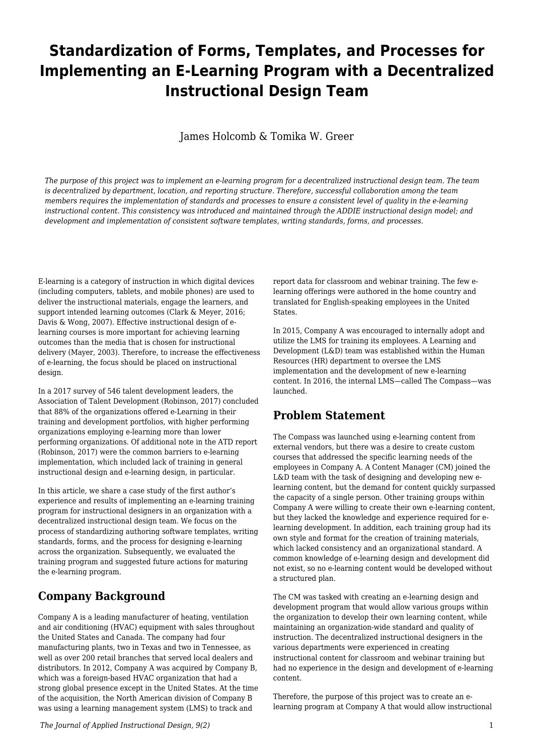# **Standardization of Forms, Templates, and Processes for Implementing an E-Learning Program with a Decentralized Instructional Design Team**

James Holcomb & Tomika W. Greer

*The purpose of this project was to implement an e-learning program for a decentralized instructional design team. The team is decentralized by department, location, and reporting structure. Therefore, successful collaboration among the team members requires the implementation of standards and processes to ensure a consistent level of quality in the e-learning instructional content. This consistency was introduced and maintained through the ADDIE instructional design model; and development and implementation of consistent software templates, writing standards, forms, and processes.*

E-learning is a category of instruction in which digital devices (including computers, tablets, and mobile phones) are used to deliver the instructional materials, engage the learners, and support intended learning outcomes (Clark & Meyer, 2016; Davis & Wong, 2007). Effective instructional design of elearning courses is more important for achieving learning outcomes than the media that is chosen for instructional delivery (Mayer, 2003). Therefore, to increase the effectiveness of e-learning, the focus should be placed on instructional design.

In a 2017 survey of 546 talent development leaders, the Association of Talent Development (Robinson, 2017) concluded that 88% of the organizations offered e-Learning in their training and development portfolios, with higher performing organizations employing e-learning more than lower performing organizations. Of additional note in the ATD report (Robinson, 2017) were the common barriers to e-learning implementation, which included lack of training in general instructional design and e-learning design, in particular.

In this article, we share a case study of the first author's experience and results of implementing an e-learning training program for instructional designers in an organization with a decentralized instructional design team. We focus on the process of standardizing authoring software templates, writing standards, forms, and the process for designing e-learning across the organization. Subsequently, we evaluated the training program and suggested future actions for maturing the e-learning program.

## **Company Background**

Company A is a leading manufacturer of heating, ventilation and air conditioning (HVAC) equipment with sales throughout the United States and Canada. The company had four manufacturing plants, two in Texas and two in Tennessee, as well as over 200 retail branches that served local dealers and distributors. In 2012, Company A was acquired by Company B, which was a foreign-based HVAC organization that had a strong global presence except in the United States. At the time of the acquisition, the North American division of Company B was using a learning management system (LMS) to track and

report data for classroom and webinar training. The few elearning offerings were authored in the home country and translated for English-speaking employees in the United **States** 

In 2015, Company A was encouraged to internally adopt and utilize the LMS for training its employees. A Learning and Development (L&D) team was established within the Human Resources (HR) department to oversee the LMS implementation and the development of new e-learning content. In 2016, the internal LMS—called The Compass—was launched.

## **Problem Statement**

The Compass was launched using e-learning content from external vendors, but there was a desire to create custom courses that addressed the specific learning needs of the employees in Company A. A Content Manager (CM) joined the L&D team with the task of designing and developing new elearning content, but the demand for content quickly surpassed the capacity of a single person. Other training groups within Company A were willing to create their own e-learning content, but they lacked the knowledge and experience required for elearning development. In addition, each training group had its own style and format for the creation of training materials, which lacked consistency and an organizational standard. A common knowledge of e-learning design and development did not exist, so no e-learning content would be developed without a structured plan.

The CM was tasked with creating an e-learning design and development program that would allow various groups within the organization to develop their own learning content, while maintaining an organization-wide standard and quality of instruction. The decentralized instructional designers in the various departments were experienced in creating instructional content for classroom and webinar training but had no experience in the design and development of e-learning content.

Therefore, the purpose of this project was to create an elearning program at Company A that would allow instructional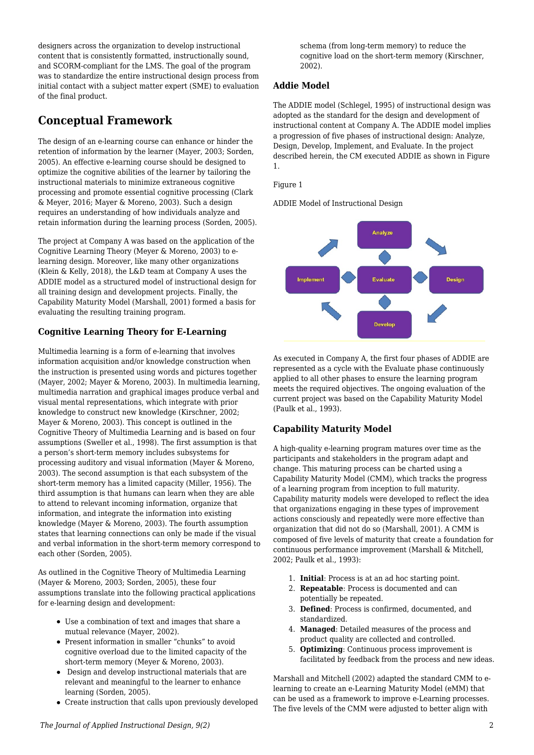designers across the organization to develop instructional content that is consistently formatted, instructionally sound, and SCORM-compliant for the LMS. The goal of the program was to standardize the entire instructional design process from initial contact with a subject matter expert (SME) to evaluation of the final product.

## **Conceptual Framework**

The design of an e-learning course can enhance or hinder the retention of information by the learner (Mayer, 2003; Sorden, 2005). An effective e-learning course should be designed to optimize the cognitive abilities of the learner by tailoring the instructional materials to minimize extraneous cognitive processing and promote essential cognitive processing (Clark & Meyer, 2016; Mayer & Moreno, 2003). Such a design requires an understanding of how individuals analyze and retain information during the learning process (Sorden, 2005).

The project at Company A was based on the application of the Cognitive Learning Theory (Meyer & Moreno, 2003) to elearning design. Moreover, like many other organizations (Klein & Kelly, 2018), the L&D team at Company A uses the ADDIE model as a structured model of instructional design for all training design and development projects. Finally, the Capability Maturity Model (Marshall, 2001) formed a basis for evaluating the resulting training program.

## **Cognitive Learning Theory for E-Learning**

Multimedia learning is a form of e-learning that involves information acquisition and/or knowledge construction when the instruction is presented using words and pictures together (Mayer, 2002; Mayer & Moreno, 2003). In multimedia learning, multimedia narration and graphical images produce verbal and visual mental representations, which integrate with prior knowledge to construct new knowledge (Kirschner, 2002; Mayer & Moreno, 2003). This concept is outlined in the Cognitive Theory of Multimedia Learning and is based on four assumptions (Sweller et al., 1998). The first assumption is that a person's short-term memory includes subsystems for processing auditory and visual information (Mayer & Moreno, 2003). The second assumption is that each subsystem of the short-term memory has a limited capacity (Miller, 1956). The third assumption is that humans can learn when they are able to attend to relevant incoming information, organize that information, and integrate the information into existing knowledge (Mayer & Moreno, 2003). The fourth assumption states that learning connections can only be made if the visual and verbal information in the short-term memory correspond to each other (Sorden, 2005).

As outlined in the Cognitive Theory of Multimedia Learning (Mayer & Moreno, 2003; Sorden, 2005), these four assumptions translate into the following practical applications for e-learning design and development:

- Use a combination of text and images that share a mutual relevance (Mayer, 2002).
- Present information in smaller "chunks" to avoid cognitive overload due to the limited capacity of the short-term memory (Meyer & Moreno, 2003).
- Design and develop instructional materials that are relevant and meaningful to the learner to enhance learning (Sorden, 2005).
- Create instruction that calls upon previously developed

schema (from long-term memory) to reduce the cognitive load on the short-term memory (Kirschner, 2002).

## **Addie Model**

The ADDIE model (Schlegel, 1995) of instructional design was adopted as the standard for the design and development of instructional content at Company A. The ADDIE model implies a progression of five phases of instructional design: Analyze, Design, Develop, Implement, and Evaluate. In the project described herein, the CM executed ADDIE as shown in Figure 1.

Figure 1

ADDIE Model of Instructional Design



As executed in Company A, the first four phases of ADDIE are represented as a cycle with the Evaluate phase continuously applied to all other phases to ensure the learning program meets the required objectives. The ongoing evaluation of the current project was based on the Capability Maturity Model (Paulk et al., 1993).

## **Capability Maturity Model**

A high-quality e-learning program matures over time as the participants and stakeholders in the program adapt and change. This maturing process can be charted using a Capability Maturity Model (CMM), which tracks the progress of a learning program from inception to full maturity. Capability maturity models were developed to reflect the idea that organizations engaging in these types of improvement actions consciously and repeatedly were more effective than organization that did not do so (Marshall, 2001). A CMM is composed of five levels of maturity that create a foundation for continuous performance improvement (Marshall & Mitchell, 2002; Paulk et al., 1993):

- 1. **Initial**: Process is at an ad hoc starting point.
- 2. **Repeatable**: Process is documented and can potentially be repeated.
- 3. **Defined**: Process is confirmed, documented, and standardized.
- 4. **Managed**: Detailed measures of the process and product quality are collected and controlled.
- 5. **Optimizing**: Continuous process improvement is facilitated by feedback from the process and new ideas.

Marshall and Mitchell (2002) adapted the standard CMM to elearning to create an e-Learning Maturity Model (eMM) that can be used as a framework to improve e-Learning processes. The five levels of the CMM were adjusted to better align with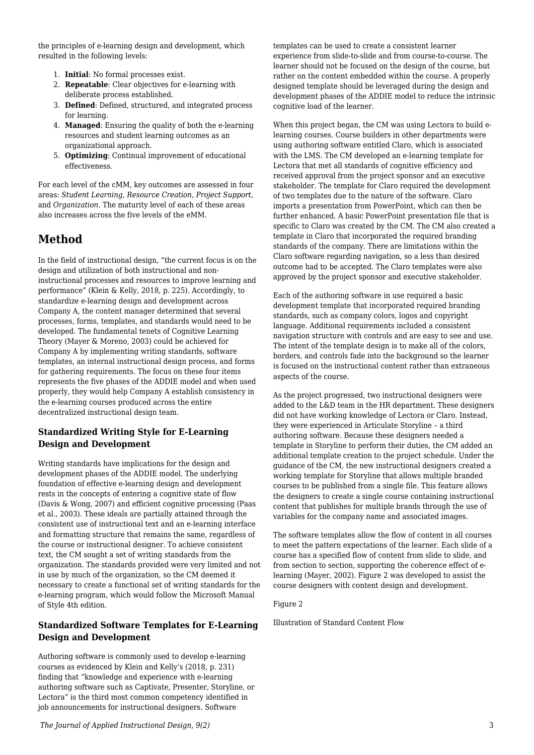the principles of e-learning design and development, which resulted in the following levels:

- 1. **Initial**: No formal processes exist.
- 2. **Repeatable**: Clear objectives for e-learning with deliberate process established.
- 3. **Defined**: Defined, structured, and integrated process for learning.
- 4. **Managed**: Ensuring the quality of both the e-learning resources and student learning outcomes as an organizational approach.
- 5. **Optimizing**: Continual improvement of educational effectiveness.

For each level of the cMM, key outcomes are assessed in four areas: *Student Learning*, *Resource Creation*, *Project Support*, and *Organization*. The maturity level of each of these areas also increases across the five levels of the eMM.

## **Method**

In the field of instructional design, "the current focus is on the design and utilization of both instructional and noninstructional processes and resources to improve learning and performance" (Klein & Kelly, 2018, p. 225). Accordingly, to standardize e-learning design and development across Company A, the content manager determined that several processes, forms, templates, and standards would need to be developed. The fundamental tenets of Cognitive Learning Theory (Mayer & Moreno, 2003) could be achieved for Company A by implementing writing standards, software templates, an internal instructional design process, and forms for gathering requirements. The focus on these four items represents the five phases of the ADDIE model and when used properly, they would help Company A establish consistency in the e-learning courses produced across the entire decentralized instructional design team.

## **Standardized Writing Style for E-Learning Design and Development**

Writing standards have implications for the design and development phases of the ADDIE model. The underlying foundation of effective e-learning design and development rests in the concepts of entering a cognitive state of flow (Davis & Wong, 2007) and efficient cognitive processing (Paas et al., 2003). These ideals are partially attained through the consistent use of instructional text and an e-learning interface and formatting structure that remains the same, regardless of the course or instructional designer. To achieve consistent text, the CM sought a set of writing standards from the organization. The standards provided were very limited and not in use by much of the organization, so the CM deemed it necessary to create a functional set of writing standards for the e-learning program, which would follow the Microsoft Manual of Style 4th edition.

### **Standardized Software Templates for E-Learning Design and Development**

Authoring software is commonly used to develop e-learning courses as evidenced by Klein and Kelly's (2018, p. 231) finding that "knowledge and experience with e-learning authoring software such as Captivate, Presenter, Storyline, or Lectora" is the third most common competency identified in job announcements for instructional designers. Software

templates can be used to create a consistent learner experience from slide-to-slide and from course-to-course. The learner should not be focused on the design of the course, but rather on the content embedded within the course. A properly designed template should be leveraged during the design and development phases of the ADDIE model to reduce the intrinsic cognitive load of the learner.

When this project began, the CM was using Lectora to build elearning courses. Course builders in other departments were using authoring software entitled Claro, which is associated with the LMS. The CM developed an e-learning template for Lectora that met all standards of cognitive efficiency and received approval from the project sponsor and an executive stakeholder. The template for Claro required the development of two templates due to the nature of the software. Claro imports a presentation from PowerPoint, which can then be further enhanced. A basic PowerPoint presentation file that is specific to Claro was created by the CM. The CM also created a template in Claro that incorporated the required branding standards of the company. There are limitations within the Claro software regarding navigation, so a less than desired outcome had to be accepted. The Claro templates were also approved by the project sponsor and executive stakeholder.

Each of the authoring software in use required a basic development template that incorporated required branding standards, such as company colors, logos and copyright language. Additional requirements included a consistent navigation structure with controls and are easy to see and use. The intent of the template design is to make all of the colors, borders, and controls fade into the background so the learner is focused on the instructional content rather than extraneous aspects of the course.

As the project progressed, two instructional designers were added to the L&D team in the HR department. These designers did not have working knowledge of Lectora or Claro. Instead, they were experienced in Articulate Storyline – a third authoring software. Because these designers needed a template in Storyline to perform their duties, the CM added an additional template creation to the project schedule. Under the guidance of the CM, the new instructional designers created a working template for Storyline that allows multiple branded courses to be published from a single file. This feature allows the designers to create a single course containing instructional content that publishes for multiple brands through the use of variables for the company name and associated images.

The software templates allow the flow of content in all courses to meet the pattern expectations of the learner. Each slide of a course has a specified flow of content from slide to slide, and from section to section, supporting the coherence effect of elearning (Mayer, 2002). Figure 2 was developed to assist the course designers with content design and development.

Figure 2

Illustration of Standard Content Flow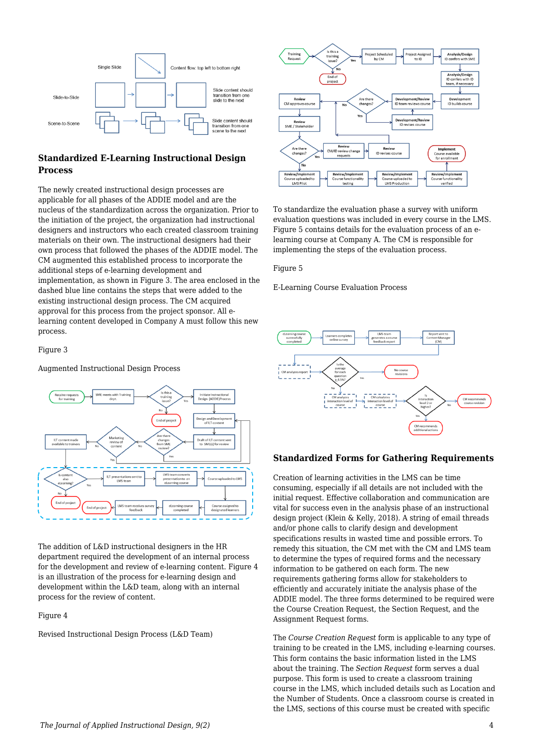

## **Standardized E-Learning Instructional Design Process**

The newly created instructional design processes are applicable for all phases of the ADDIE model and are the nucleus of the standardization across the organization. Prior to the initiation of the project, the organization had instructional designers and instructors who each created classroom training materials on their own. The instructional designers had their own process that followed the phases of the ADDIE model. The CM augmented this established process to incorporate the additional steps of e-learning development and implementation, as shown in Figure 3. The area enclosed in the dashed blue line contains the steps that were added to the existing instructional design process. The CM acquired approval for this process from the project sponsor. All elearning content developed in Company A must follow this new process.

#### Figure 3

#### Augmented Instructional Design Process



The addition of L&D instructional designers in the HR department required the development of an internal process for the development and review of e-learning content. Figure 4 is an illustration of the process for e-learning design and development within the L&D team, along with an internal process for the review of content.

#### Figure 4

Revised Instructional Design Process (L&D Team)



To standardize the evaluation phase a survey with uniform evaluation questions was included in every course in the LMS. Figure 5 contains details for the evaluation process of an elearning course at Company A. The CM is responsible for implementing the steps of the evaluation process.

Figure 5

E-Learning Course Evaluation Process



#### **Standardized Forms for Gathering Requirements**

Creation of learning activities in the LMS can be time consuming, especially if all details are not included with the initial request. Effective collaboration and communication are vital for success even in the analysis phase of an instructional design project (Klein & Kelly, 2018). A string of email threads and/or phone calls to clarify design and development specifications results in wasted time and possible errors. To remedy this situation, the CM met with the CM and LMS team to determine the types of required forms and the necessary information to be gathered on each form. The new requirements gathering forms allow for stakeholders to efficiently and accurately initiate the analysis phase of the ADDIE model. The three forms determined to be required were the Course Creation Request, the Section Request, and the Assignment Request forms.

The *Course Creation Request* form is applicable to any type of training to be created in the LMS, including e-learning courses. This form contains the basic information listed in the LMS about the training. The *Section Request* form serves a dual purpose. This form is used to create a classroom training course in the LMS, which included details such as Location and the Number of Students. Once a classroom course is created in the LMS, sections of this course must be created with specific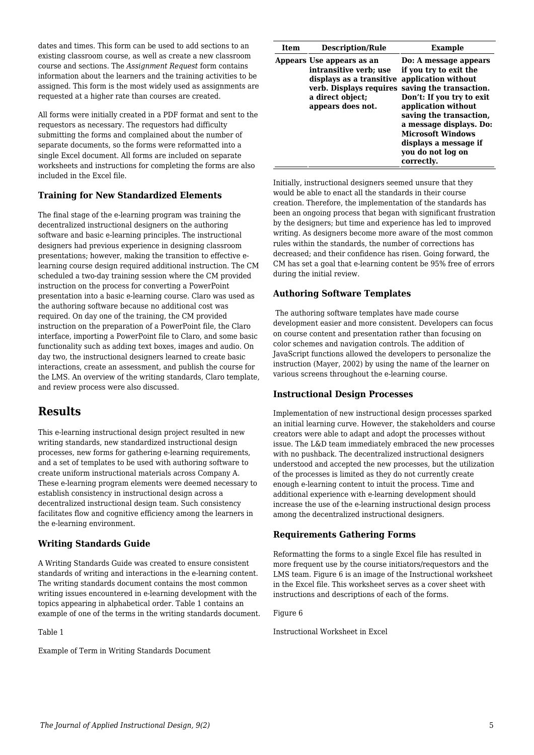dates and times. This form can be used to add sections to an existing classroom course, as well as create a new classroom course and sections. The *Assignment Request* form contains information about the learners and the training activities to be assigned. This form is the most widely used as assignments are requested at a higher rate than courses are created.

All forms were initially created in a PDF format and sent to the requestors as necessary. The requestors had difficulty submitting the forms and complained about the number of separate documents, so the forms were reformatted into a single Excel document. All forms are included on separate worksheets and instructions for completing the forms are also included in the Excel file.

## **Training for New Standardized Elements**

The final stage of the e-learning program was training the decentralized instructional designers on the authoring software and basic e-learning principles. The instructional designers had previous experience in designing classroom presentations; however, making the transition to effective elearning course design required additional instruction. The CM scheduled a two-day training session where the CM provided instruction on the process for converting a PowerPoint presentation into a basic e-learning course. Claro was used as the authoring software because no additional cost was required. On day one of the training, the CM provided instruction on the preparation of a PowerPoint file, the Claro interface, importing a PowerPoint file to Claro, and some basic functionality such as adding text boxes, images and audio. On day two, the instructional designers learned to create basic interactions, create an assessment, and publish the course for the LMS. An overview of the writing standards, Claro template, and review process were also discussed.

## **Results**

This e-learning instructional design project resulted in new writing standards, new standardized instructional design processes, new forms for gathering e-learning requirements, and a set of templates to be used with authoring software to create uniform instructional materials across Company A. These e-learning program elements were deemed necessary to establish consistency in instructional design across a decentralized instructional design team. Such consistency facilitates flow and cognitive efficiency among the learners in the e-learning environment.

### **Writing Standards Guide**

A Writing Standards Guide was created to ensure consistent standards of writing and interactions in the e-learning content. The writing standards document contains the most common writing issues encountered in e-learning development with the topics appearing in alphabetical order. Table 1 contains an example of one of the terms in the writing standards document.

Table 1

Example of Term in Writing Standards Document

| Item | <b>Description/Rule</b>                                                                                                  | Example                                                                                                                                                                                                                                                                                                                     |
|------|--------------------------------------------------------------------------------------------------------------------------|-----------------------------------------------------------------------------------------------------------------------------------------------------------------------------------------------------------------------------------------------------------------------------------------------------------------------------|
|      | Appears Use appears as an<br>intransitive verb; use<br>displays as a transitive<br>a direct object;<br>appears does not. | Do: A message appears<br>if you try to exit the<br>application without<br>verb. Displays requires saving the transaction.<br>Don't: If you try to exit<br>application without<br>saving the transaction,<br>a message displays. Do:<br><b>Microsoft Windows</b><br>displays a message if<br>you do not log on<br>correctly. |

Initially, instructional designers seemed unsure that they would be able to enact all the standards in their course creation. Therefore, the implementation of the standards has been an ongoing process that began with significant frustration by the designers; but time and experience has led to improved writing. As designers become more aware of the most common rules within the standards, the number of corrections has decreased; and their confidence has risen. Going forward, the CM has set a goal that e-learning content be 95% free of errors during the initial review.

### **Authoring Software Templates**

 The authoring software templates have made course development easier and more consistent. Developers can focus on course content and presentation rather than focusing on color schemes and navigation controls. The addition of JavaScript functions allowed the developers to personalize the instruction (Mayer, 2002) by using the name of the learner on various screens throughout the e-learning course.

### **Instructional Design Processes**

Implementation of new instructional design processes sparked an initial learning curve. However, the stakeholders and course creators were able to adapt and adopt the processes without issue. The L&D team immediately embraced the new processes with no pushback. The decentralized instructional designers understood and accepted the new processes, but the utilization of the processes is limited as they do not currently create enough e-learning content to intuit the process. Time and additional experience with e-learning development should increase the use of the e-learning instructional design process among the decentralized instructional designers.

### **Requirements Gathering Forms**

Reformatting the forms to a single Excel file has resulted in more frequent use by the course initiators/requestors and the LMS team. Figure 6 is an image of the Instructional worksheet in the Excel file. This worksheet serves as a cover sheet with instructions and descriptions of each of the forms.

Figure 6

Instructional Worksheet in Excel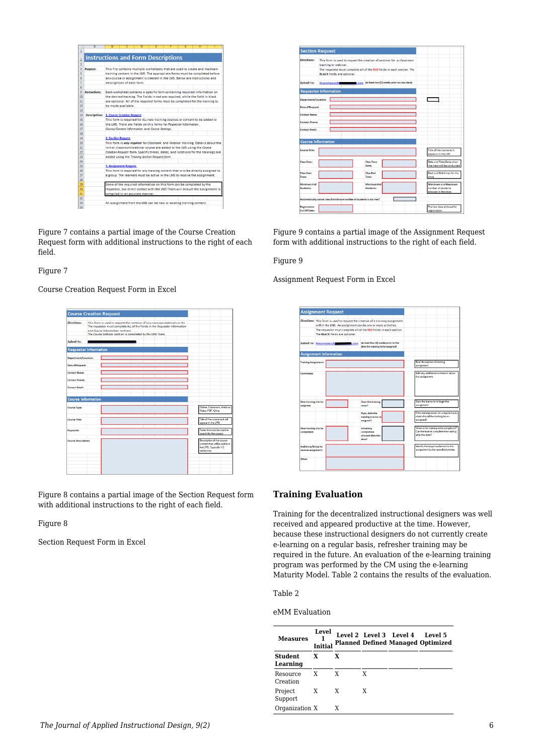|              | A                                               | B                                                                            |                                                                            | n                               | E                                                                                 |  | G | н |  |  |  |  |  |
|--------------|-------------------------------------------------|------------------------------------------------------------------------------|----------------------------------------------------------------------------|---------------------------------|-----------------------------------------------------------------------------------|--|---|---|--|--|--|--|--|
| $\mathbf{1}$ |                                                 |                                                                              |                                                                            |                                 |                                                                                   |  |   |   |  |  |  |  |  |
|              |                                                 |                                                                              |                                                                            |                                 |                                                                                   |  |   |   |  |  |  |  |  |
| 2            | <b>Instructions and Form Descriptions</b>       |                                                                              |                                                                            |                                 |                                                                                   |  |   |   |  |  |  |  |  |
| 3            |                                                 |                                                                              |                                                                            |                                 |                                                                                   |  |   |   |  |  |  |  |  |
| 4            | <b>Purpose:</b>                                 |                                                                              |                                                                            |                                 | This file contains multiple worksheets that are used to create and maintain       |  |   |   |  |  |  |  |  |
| 5            |                                                 |                                                                              |                                                                            |                                 | training content in the LMS. The appropriate forms must be completed before       |  |   |   |  |  |  |  |  |
| 6            |                                                 |                                                                              | any course or assignment is created in the LMS. Below are instructions and |                                 |                                                                                   |  |   |   |  |  |  |  |  |
| 7            |                                                 | descriptions of each form.                                                   |                                                                            |                                 |                                                                                   |  |   |   |  |  |  |  |  |
| 8            |                                                 |                                                                              |                                                                            |                                 |                                                                                   |  |   |   |  |  |  |  |  |
| 9            | <b>Instructions:</b>                            |                                                                              |                                                                            |                                 | Each worksheet contains a specific form containing required information on        |  |   |   |  |  |  |  |  |
| 10           |                                                 |                                                                              |                                                                            |                                 | the desired training. The fields in red are required, while the field in black    |  |   |   |  |  |  |  |  |
| 11           |                                                 |                                                                              |                                                                            |                                 | are optional. All of the required forms must be completed for the training to     |  |   |   |  |  |  |  |  |
| 12           |                                                 | be made available.                                                           |                                                                            |                                 |                                                                                   |  |   |   |  |  |  |  |  |
| 13           |                                                 |                                                                              |                                                                            |                                 |                                                                                   |  |   |   |  |  |  |  |  |
| 14           | <b>Descriptions: 1. Course Creation Request</b> |                                                                              |                                                                            |                                 |                                                                                   |  |   |   |  |  |  |  |  |
| 15           |                                                 | This form is required for ALL new training courses or content to be added to |                                                                            |                                 |                                                                                   |  |   |   |  |  |  |  |  |
| 16           |                                                 | the LMS. There are fields on this forms for Requestor Information.           |                                                                            |                                 |                                                                                   |  |   |   |  |  |  |  |  |
| 17           |                                                 |                                                                              | Course/Content Information and Course Settings.                            |                                 |                                                                                   |  |   |   |  |  |  |  |  |
| 18           |                                                 |                                                                              |                                                                            |                                 |                                                                                   |  |   |   |  |  |  |  |  |
| 19           |                                                 | <b>2. Section Request</b>                                                    |                                                                            |                                 |                                                                                   |  |   |   |  |  |  |  |  |
| 20           |                                                 |                                                                              |                                                                            |                                 | This form is only required for Classroom and Webinar training. Details about the  |  |   |   |  |  |  |  |  |
| 21           |                                                 |                                                                              |                                                                            |                                 | initial classroom/webinar course are added to the LMS using the Course            |  |   |   |  |  |  |  |  |
| 22           |                                                 |                                                                              |                                                                            |                                 | Creation Request form. Specific times, dates, and locations for the trainings are |  |   |   |  |  |  |  |  |
| 23           |                                                 |                                                                              |                                                                            |                                 | added using the Training Section Request form.                                    |  |   |   |  |  |  |  |  |
| 24           |                                                 |                                                                              |                                                                            |                                 |                                                                                   |  |   |   |  |  |  |  |  |
| 25           |                                                 | <b>3. Assignment Request</b>                                                 |                                                                            |                                 |                                                                                   |  |   |   |  |  |  |  |  |
| 26           |                                                 |                                                                              |                                                                            |                                 | This form is required for any training content that is to be directly assigned to |  |   |   |  |  |  |  |  |
| 27           |                                                 |                                                                              |                                                                            |                                 | a group. The learners must be active in the LMS to receive the assignment.        |  |   |   |  |  |  |  |  |
| 28           |                                                 |                                                                              |                                                                            |                                 |                                                                                   |  |   |   |  |  |  |  |  |
| 29           |                                                 |                                                                              |                                                                            |                                 | Some of the required information on this form can be completed by the             |  |   |   |  |  |  |  |  |
| 30           |                                                 |                                                                              |                                                                            |                                 | requestor, but direct contact with the LMS Team will ensure the assignment is     |  |   |   |  |  |  |  |  |
| 31           |                                                 |                                                                              |                                                                            | compiled in an accurate manner. |                                                                                   |  |   |   |  |  |  |  |  |
| 32           |                                                 |                                                                              |                                                                            |                                 |                                                                                   |  |   |   |  |  |  |  |  |
| 33           |                                                 |                                                                              |                                                                            |                                 | An assignment from the LMS can be new or existing training content.               |  |   |   |  |  |  |  |  |
| 34           |                                                 |                                                                              |                                                                            |                                 |                                                                                   |  |   |   |  |  |  |  |  |

Figure 7 contains a partial image of the Course Creation Request form with additional instructions to the right of each field.

Figure 7

Course Creation Request Form in Excel

| <b>Course Creation Request</b> |                                                                                                                                                          |  |  |  |                                                                                                      |  |
|--------------------------------|----------------------------------------------------------------------------------------------------------------------------------------------------------|--|--|--|------------------------------------------------------------------------------------------------------|--|
|                                |                                                                                                                                                          |  |  |  |                                                                                                      |  |
| <b>Directions:</b>             | This form is used to request the creation of new training materials in the<br>The requestor must complete ALL of the fields in the Requestor Information |  |  |  |                                                                                                      |  |
|                                | and Course Information sections<br>The Course Settings section is completed by the LMS Team.                                                             |  |  |  |                                                                                                      |  |
| Submit to:                     |                                                                                                                                                          |  |  |  |                                                                                                      |  |
| <b>Requestor Information</b>   |                                                                                                                                                          |  |  |  |                                                                                                      |  |
| Department/Location:           |                                                                                                                                                          |  |  |  |                                                                                                      |  |
| <b>Date of Request:</b>        |                                                                                                                                                          |  |  |  |                                                                                                      |  |
| <b>Contact Name:</b>           |                                                                                                                                                          |  |  |  |                                                                                                      |  |
| <b>Contact Phone:</b>          |                                                                                                                                                          |  |  |  |                                                                                                      |  |
| <b>Contact Email:</b>          |                                                                                                                                                          |  |  |  |                                                                                                      |  |
| <b>Course Information</b>      |                                                                                                                                                          |  |  |  |                                                                                                      |  |
| <b>Course Type:</b>            |                                                                                                                                                          |  |  |  | Online, Classroom, Webinar,<br>Video, PDF, Other                                                     |  |
| <b>Course Title:</b>           |                                                                                                                                                          |  |  |  | Title of the course as it will<br>appear in the LMS                                                  |  |
| Keywords:                      |                                                                                                                                                          |  |  |  | Terms that can be used to<br>search for the course.                                                  |  |
| <b>Course Description:</b>     |                                                                                                                                                          |  |  |  | Description of the course<br>content that will be visible in<br>the LMS. Typically 1-3<br>sentences. |  |
|                                |                                                                                                                                                          |  |  |  |                                                                                                      |  |

Figure 8 contains a partial image of the Section Request form with additional instructions to the right of each field.

Figure 8

Section Request Form in Excel

| <b>Directions:</b>               |             | training or webinar.              |               |                                                                      | This form is used to request the creation of sections for a classroom  |                                                                   |
|----------------------------------|-------------|-----------------------------------|---------------|----------------------------------------------------------------------|------------------------------------------------------------------------|-------------------------------------------------------------------|
|                                  |             | <b>BLACK</b> fields are optional. |               |                                                                      | The requestor must complete all of the RED fields in each section. The |                                                                   |
| Submit to:                       | thecompass@ |                                   | <b>R</b> .com |                                                                      | (at least two (2) weeks prior to class date)                           |                                                                   |
|                                  |             |                                   |               |                                                                      |                                                                        |                                                                   |
| <b>Requestor Information</b>     |             |                                   |               |                                                                      |                                                                        |                                                                   |
| <b>Department/Location:</b>      |             |                                   |               |                                                                      |                                                                        |                                                                   |
| <b>Date of Request:</b>          |             |                                   |               |                                                                      |                                                                        |                                                                   |
| <b>Contact Name:</b>             |             |                                   |               |                                                                      |                                                                        |                                                                   |
| <b>Contact Phone:</b>            |             |                                   |               |                                                                      |                                                                        |                                                                   |
| <b>Contact Fmail:</b>            |             |                                   |               |                                                                      |                                                                        |                                                                   |
| <b>Course Information</b>        |             |                                   |               |                                                                      |                                                                        |                                                                   |
|                                  |             |                                   |               |                                                                      |                                                                        |                                                                   |
| <b>Course Title:</b>             |             |                                   |               |                                                                      |                                                                        | Title of the course as it<br>appears in the LMS                   |
| <b>Class Date:</b>               |             |                                   |               | <b>Class Time</b><br>Zone:                                           |                                                                        | Date and Time Zone when<br>the class will be conducted            |
| <b>Class Start</b><br>Timer      |             |                                   |               | <b>Class Ford</b><br>Timer                                           |                                                                        | Start and End times for the<br>class                              |
| Minimum # of<br><b>Students:</b> |             |                                   |               | Minimum # of<br>Students:                                            |                                                                        | Mimimum and Maximum<br>number of students<br>allowed in the class |
|                                  |             |                                   |               | Automatically cancel class if minimum number of students is not met? |                                                                        |                                                                   |

Figure 9 contains a partial image of the Assignment Request form with additional instructions to the right of each field.

#### Figure 9

Assignment Request Form in Excel



### **Training Evaluation**

Training for the decentralized instructional designers was well received and appeared productive at the time. However, because these instructional designers do not currently create e-learning on a regular basis, refresher training may be required in the future. An evaluation of the e-learning training program was performed by the CM using the e-learning Maturity Model. Table 2 contains the results of the evaluation.

#### Table 2

eMM Evaluation

| <b>Measures</b>            | Level<br>1<br><b>Initial</b> |   |   | Level 2 Level 3 Level 4 | Level 5<br><b>Planned Defined Managed Optimized</b> |  |
|----------------------------|------------------------------|---|---|-------------------------|-----------------------------------------------------|--|
| <b>Student</b><br>Learning | X                            | X |   |                         |                                                     |  |
| Resource<br>Creation       | X                            | X | X |                         |                                                     |  |
| Project<br>Support         | X                            | X | X |                         |                                                     |  |
| Organization X             |                              | X |   |                         |                                                     |  |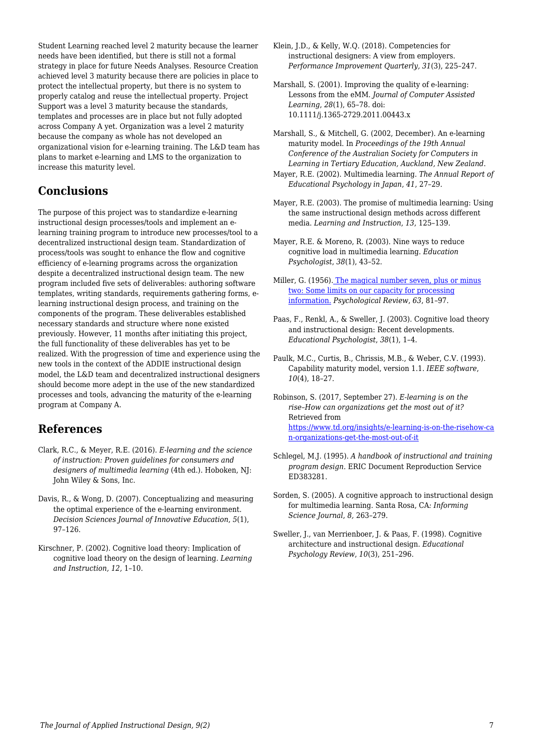Student Learning reached level 2 maturity because the learner needs have been identified, but there is still not a formal strategy in place for future Needs Analyses. Resource Creation achieved level 3 maturity because there are policies in place to protect the intellectual property, but there is no system to properly catalog and reuse the intellectual property. Project Support was a level 3 maturity because the standards, templates and processes are in place but not fully adopted across Company A yet. Organization was a level 2 maturity because the company as whole has not developed an organizational vision for e-learning training. The L&D team has plans to market e-learning and LMS to the organization to increase this maturity level.

## **Conclusions**

The purpose of this project was to standardize e-learning instructional design processes/tools and implement an elearning training program to introduce new processes/tool to a decentralized instructional design team. Standardization of process/tools was sought to enhance the flow and cognitive efficiency of e-learning programs across the organization despite a decentralized instructional design team. The new program included five sets of deliverables: authoring software templates, writing standards, requirements gathering forms, elearning instructional design process, and training on the components of the program. These deliverables established necessary standards and structure where none existed previously. However, 11 months after initiating this project, the full functionality of these deliverables has yet to be realized. With the progression of time and experience using the new tools in the context of the ADDIE instructional design model, the L&D team and decentralized instructional designers should become more adept in the use of the new standardized processes and tools, advancing the maturity of the e-learning program at Company A.

## **References**

- Clark, R.C., & Meyer, R.E. (2016). *E-learning and the science of instruction: Proven guidelines for consumers and designers of multimedia learning* (4th ed.). Hoboken, NJ: John Wiley & Sons, Inc.
- Davis, R., & Wong, D. (2007). Conceptualizing and measuring the optimal experience of the e-learning environment. *Decision Sciences Journal of Innovative Education*, *5*(1), 97–126.
- Kirschner, P. (2002). Cognitive load theory: Implication of cognitive load theory on the design of learning. *Learning and Instruction, 12,* 1–10.
- Klein, J.D., & Kelly, W.Q. (2018). Competencies for instructional designers: A view from employers. *Performance Improvement Quarterly, 31*(3), 225–247.
- Marshall, S. (2001). Improving the quality of e-learning: Lessons from the eMM. *Journal of Computer Assisted Learning*, *28*(1), 65–78. doi: 10.1111/j.1365-2729.2011.00443.x
- Marshall, S., & Mitchell, G. (2002, December). An e-learning maturity model. In *Proceedings of the 19th Annual Conference of the Australian Society for Computers in Learning in Tertiary Education, Auckland, New Zealand*.
- Mayer, R.E. (2002). Multimedia learning. *The Annual Report of Educational Psychology in Japan*, *41*, 27–29.
- Mayer, R.E. (2003). The promise of multimedia learning: Using the same instructional design methods across different media. *Learning and Instruction*, *13*, 125–139.
- Mayer, R.E. & Moreno, R. (2003). Nine ways to reduce cognitive load in multimedia learning. *Education Psychologist*, *38*(1), 43–52.
- Miller, G. (1956). [The magical number seven, plus or minus](http://www.musanim.com/miller1956/) [two: Some limits on our capacity for processing](http://www.musanim.com/miller1956/) [information.](http://www.musanim.com/miller1956/) *Psychological Review*, *63*, 81–97.
- Paas, F., Renkl, A., & Sweller, J. (2003). Cognitive load theory and instructional design: Recent developments. *Educational Psychologist*, *38*(1), 1–4.
- Paulk, M.C., Curtis, B., Chrissis, M.B., & Weber, C.V. (1993). Capability maturity model, version 1.1. *IEEE software*, *10*(4), 18–27.
- Robinson, S. (2017, September 27). *E-learning is on the rise–How can organizations get the most out of it?* Retrieved from [https://www.td.org/insights/e-learning-is-on-the-risehow-ca](https://www.td.org/insights/e-learning-is-on-the-risehow-can-organizations-get-the-most-out-of-it) [n-organizations-get-the-most-out-of-it](https://www.td.org/insights/e-learning-is-on-the-risehow-can-organizations-get-the-most-out-of-it)
- Schlegel, M.J. (1995). *A handbook of instructional and training program design*. ERIC Document Reproduction Service ED383281.
- Sorden, S. (2005). A cognitive approach to instructional design for multimedia learning. Santa Rosa, CA*: Informing Science Journal*, *8,* 263–279.
- Sweller, J., van Merrienboer, J. & Paas, F. (1998). Cognitive architecture and instructional design. *Educational Psychology Review*, *10*(3), 251–296.